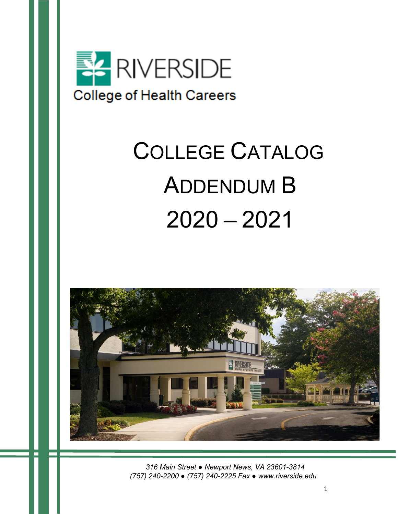

# COLLEGE CATALOG ADDENDUM B 2020 – 2021



 *316 Main Street ● Newport News, VA 23601-3814 (757) 240-2200 ● (757) 240-2225 Fax ● www.riverside.edu*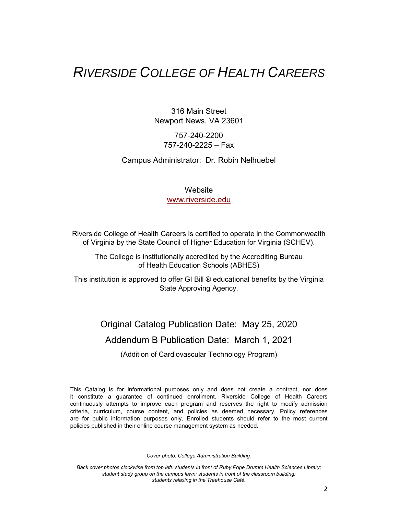### *RIVERSIDE COLLEGE OF HEALTH CAREERS*

316 Main Street Newport News, VA 23601

### 757-240-2200 757-240-2225 – Fax

#### Campus Administrator: Dr. Robin Nelhuebel

### **Website** [www.riverside.edu](http://www.riverside.edu/)

Riverside College of Health Careers is certified to operate in the Commonwealth of Virginia by the State Council of Higher Education for Virginia (SCHEV).

The College is institutionally accredited by the Accrediting Bureau of Health Education Schools (ABHES)

This institution is approved to offer GI Bill ® educational benefits by the Virginia State Approving Agency.

Original Catalog Publication Date: May 25, 2020

Addendum B Publication Date: March 1, 2021

(Addition of Cardiovascular Technology Program)

This Catalog is for informational purposes only and does not create a contract, nor does it constitute a guarantee of continued enrollment. Riverside College of Health Careers continuously attempts to improve each program and reserves the right to modify admission criteria, curriculum, course content, and policies as deemed necessary. Policy references are for public information purposes only. Enrolled students should refer to the most current policies published in their online course management system as needed.

*Cover photo: College Administration Building.*

*Back cover photos clockwise from top left: students in front of Ruby Pope Drumm Health Sciences Library; student study group on the campus lawn; students in front of the classroom building; students relaxing in the Treehouse Café.*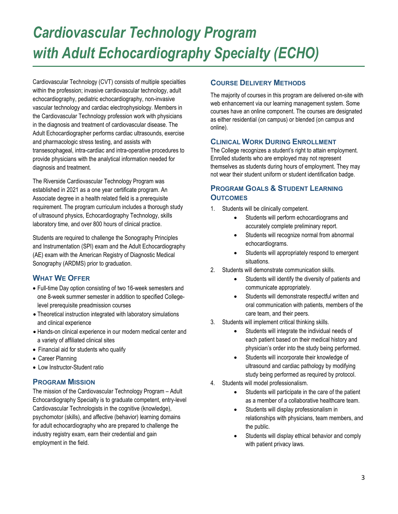## *Cardiovascular Technology Program with Adult Echocardiography Specialty (ECHO)*

Cardiovascular Technology (CVT) consists of multiple specialties within the profession; invasive cardiovascular technology, adult echocardiography, pediatric echocardiography, non-invasive vascular technology and cardiac electrophysiology. Members in the Cardiovascular Technology profession work with physicians in the diagnosis and treatment of cardiovascular disease. The Adult Echocardiographer performs cardiac ultrasounds, exercise and pharmacologic stress testing, and assists with transesophageal, intra-cardiac and intra-operative procedures to provide physicians with the analytical information needed for diagnosis and treatment.

The Riverside Cardiovascular Technology Program was established in 2021 as a one year certificate program. An Associate degree in a health related field is a prerequisite requirement. The program curriculum includes a thorough study of ultrasound physics, Echocardiography Technology, skills laboratory time, and over 800 hours of clinical practice.

Students are required to challenge the Sonography Principles and Instrumentation (SPI) exam and the Adult Echocardiography (AE) exam with the American Registry of Diagnostic Medical Sonography (ARDMS) prior to graduation.

### **WHAT WE OFFER**

- Full-time Day option consisting of two 16-week semesters and one 8-week summer semester in addition to specified Collegelevel prerequisite preadmission courses
- Theoretical instruction integrated with laboratory simulations and clinical experience
- Hands-on clinical experience in our modern medical center and a variety of affiliated clinical sites
- Financial aid for students who qualify
- Career Planning
- Low Instructor-Student ratio

### **PROGRAM MISSION**

The mission of the Cardiovascular Technology Program – Adult Echocardiography Specialty is to graduate competent, entry-level Cardiovascular Technologists in the cognitive (knowledge), psychomotor (skills), and affective (behavior) learning domains for adult echocardiography who are prepared to challenge the industry registry exam, earn their credential and gain employment in the field.

### **COURSE DELIVERY METHODS**

The majority of courses in this program are delivered on-site with web enhancement via our learning management system. Some courses have an online component. The courses are designated as either residential (on campus) or blended (on campus and online).

### **CLINICAL WORK DURING ENROLLMENT**

The College recognizes a student's right to attain employment. Enrolled students who are employed may not represent themselves as students during hours of employment. They may not wear their student uniform or student identification badge.

### **PROGRAM GOALS & STUDENT LEARNING OUTCOMES**

- 1. Students will be clinically competent.
	- Students will perform echocardiograms and accurately complete preliminary report.
	- Students will recognize normal from abnormal echocardiograms.
	- Students will appropriately respond to emergent situations.
- 2. Students will demonstrate communication skills.
	- Students will identify the diversity of patients and communicate appropriately.
	- Students will demonstrate respectful written and oral communication with patients, members of the care team, and their peers.
- 3. Students will implement critical thinking skills.
	- Students will integrate the individual needs of each patient based on their medical history and physician's order into the study being performed.
	- Students will incorporate their knowledge of ultrasound and cardiac pathology by modifying study being performed as required by protocol.
- 4. Students will model professionalism.
	- Students will participate in the care of the patient as a member of a collaborative healthcare team.
	- Students will display professionalism in relationships with physicians, team members, and the public.
	- Students will display ethical behavior and comply with patient privacy laws.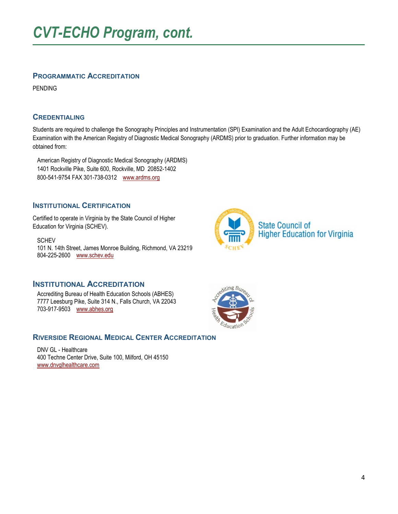### **PROGRAMMATIC ACCREDITATION**

PENDING

### **CREDENTIALING**

Students are required to challenge the Sonography Principles and Instrumentation (SPI) Examination and the Adult Echocardiography (AE) Examination with the American Registry of Diagnostic Medical Sonography (ARDMS) prior to graduation. Further information may be obtained from:

 American Registry of Diagnostic Medical Sonography (ARDMS) 1401 Rockville Pike, Suite 600, Rockville, MD 20852-1402 800-541-9754 FAX 301-738-0312 [www.ardms.org](http://www.ardms.org/)

### **INSTITUTIONAL CERTIFICATION**

Certified to operate in Virginia by the State Council of Higher Education for Virginia (SCHEV).

**SCHEV**  101 N. 14th Street, James Monroe Building, Richmond, VA 23219 804-225-2600 [www.schev.edu](http://www.schev.edu/)

### **INSTITUTIONAL ACCREDITATION**

 Accrediting Bureau of Health Education Schools (ABHES) 7777 Leesburg Pike, Suite 314 N., Falls Church, VA 22043 703-917-9503 [www.abhes.org](http://www.abhes.org/)

### **RIVERSIDE REGIONAL MEDICAL CENTER ACCREDITATION**

 DNV GL - Healthcare 400 Techne Center Drive, Suite 100, Milford, OH 45150 [www.dnvglhealthcare.com](http://dnvglhealthcare.com/)



**State Council of Higher Education for Virginia** 

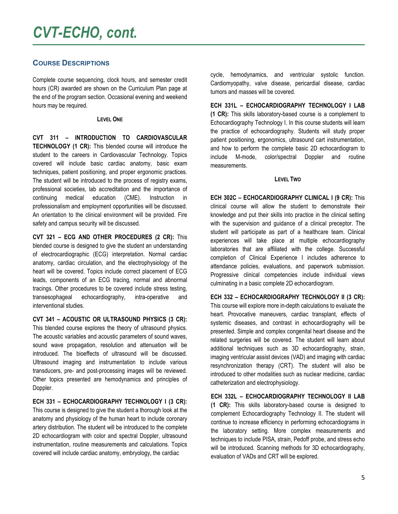### *CVT-ECHO, cont.*

### **COURSE DESCRIPTIONS**

Complete course sequencing, clock hours, and semester credit hours (CR) awarded are shown on the Curriculum Plan page at the end of the program section. Occasional evening and weekend hours may be required.

#### **LEVEL ONE**

**CVT 311 – INTRODUCTION TO CARDIOVASCULAR TECHNOLOGY (1 CR):** This blended course will introduce the student to the careers in Cardiovascular Technology. Topics covered will include basic cardiac anatomy, basic exam techniques, patient positioning, and proper ergonomic practices. The student will be introduced to the process of registry exams, professional societies, lab accreditation and the importance of continuing medical education (CME). Instruction in professionalism and employment opportunities will be discussed. An orientation to the clinical environment will be provided. Fire safety and campus security will be discussed.

**CVT 321 – ECG AND OTHER PROCEDURES (2 CR):** This blended course is designed to give the student an understanding of electrocardiographic (ECG) interpretation. Normal cardiac anatomy, cardiac circulation, and the electrophysiology of the heart will be covered. Topics include correct placement of ECG leads, components of an ECG tracing, normal and abnormal tracings. Other procedures to be covered include stress testing, transesophageal echocardiography, intra-operative and interventional studies.

**CVT 341 – ACOUSTIC OR ULTRASOUND PHYSICS (3 CR):**  This blended course explores the theory of ultrasound physics. The acoustic variables and acoustic parameters of sound waves, sound wave propagation, resolution and attenuation will be introduced. The bioeffects of ultrasound will be discussed. Ultrasound imaging and instrumentation to include various transducers, pre- and post-processing images will be reviewed. Other topics presented are hemodynamics and principles of Doppler.

**ECH 331 – ECHOCARDIOGRAPHY TECHNOLOGY I (3 CR):**  This course is designed to give the student a thorough look at the anatomy and physiology of the human heart to include coronary artery distribution. The student will be introduced to the complete 2D echocardiogram with color and spectral Doppler, ultrasound instrumentation, routine measurements and calculations. Topics covered will include cardiac anatomy, embryology, the cardiac

cycle, hemodynamics, and ventricular systolic function. Cardiomyopathy, valve disease, pericardial disease, cardiac tumors and masses will be covered.

**ECH 331L – ECHOCARDIOGRAPHY TECHNOLOGY I LAB (1 CR):** This skills laboratory-based course is a complement to Echocardiography Technology I. In this course students will learn the practice of echocardiography. Students will study proper patient positioning, ergonomics, ultrasound cart instrumentation, and how to perform the complete basic 2D echocardiogram to include M-mode, color/spectral Doppler and routine measurements.

#### **LEVEL TWO**

**ECH 302C – ECHOCARDIOGRAPHY CLINICAL I (9 CR):** This clinical course will allow the student to demonstrate their knowledge and put their skills into practice in the clinical setting with the supervision and guidance of a clinical preceptor. The student will participate as part of a healthcare team. Clinical experiences will take place at multiple echocardiography laboratories that are affiliated with the college. Successful completion of Clinical Experience I includes adherence to attendance policies, evaluations, and paperwork submission. Progressive clinical competencies include individual views culminating in a basic complete 2D echocardiogram.

**ECH 332 – ECHOCARDIOGRAPHY TECHNOLOGY II (3 CR):**  This course will explore more in-depth calculations to evaluate the heart. Provocative maneuvers, cardiac transplant, effects of systemic diseases, and contrast in echocardiography will be presented. Simple and complex congenital heart disease and the related surgeries will be covered. The student will learn about additional techniques such as 3D echocardiography, strain, imaging ventricular assist devices (VAD) and imaging with cardiac resynchronization therapy (CRT). The student will also be introduced to other modalities such as nuclear medicine, cardiac catheterization and electrophysiology.

**ECH 332L – ECHOCARDIOGRAPHY TECHNOLOGY II LAB (1 CR):** This skills laboratory-based course is designed to complement Echocardiography Technology II. The student will continue to increase efficiency in performing echocardiograms in the laboratory setting. More complex measurements and techniques to include PISA, strain, Pedoff probe, and stress echo will be introduced. Scanning methods for 3D echocardiography, evaluation of VADs and CRT will be explored.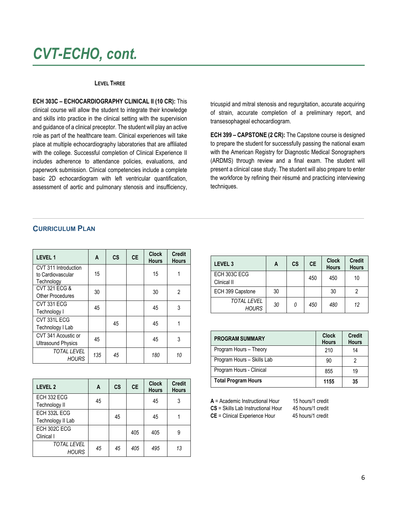### *CVT-ECHO, cont.*

#### **LEVEL THREE**

**ECH 303C – ECHOCARDIOGRAPHY CLINICAL II (10 CR):** This clinical course will allow the student to integrate their knowledge and skills into practice in the clinical setting with the supervision and guidance of a clinical preceptor. The student will play an active role as part of the healthcare team. Clinical experiences will take place at multiple echocardiography laboratories that are affiliated with the college. Successful completion of Clinical Experience II includes adherence to attendance policies, evaluations, and paperwork submission. Clinical competencies include a complete basic 2D echocardiogram with left ventricular quantification, assessment of aortic and pulmonary stenosis and insufficiency,

tricuspid and mitral stenosis and regurgitation, accurate acquiring of strain, accurate completion of a preliminary report, and transesophageal echocardiogram.

**ECH 399 – CAPSTONE (2 CR):** The Capstone course is designed to prepare the student for successfully passing the national exam with the American Registry for Diagnostic Medical Sonographers (ARDMS) through review and a final exam. The student will present a clinical case study. The student will also prepare to enter the workforce by refining their résumé and practicing interviewing techniques.

### **CURRICULUM PLAN**

| <b>LEVEL 1</b>                                          | A   | <b>CS</b> | <b>CE</b> | <b>Clock</b><br><b>Hours</b> | <b>Credit</b><br><b>Hours</b> |
|---------------------------------------------------------|-----|-----------|-----------|------------------------------|-------------------------------|
| CVT 311 Introduction<br>to Cardiovascular<br>Technology | 15  |           |           | 15                           |                               |
| CVT 321 ECG &<br><b>Other Procedures</b>                | 30  |           |           | 30                           | 2                             |
| CVT 331 ECG<br>Technology I                             | 45  |           |           | 45                           | 3                             |
| CVT 331L ECG<br>Technology I Lab                        |     | 45        |           | 45                           |                               |
| CVT 341 Acoustic or<br><b>Ultrasound Physics</b>        | 45  |           |           | 45                           | 3                             |
| <b>TOTAL LEVEL</b><br><b>HOURS</b>                      | 135 | 45        |           | 180                          | 10                            |

| <b>LEVEL 2</b>                     | Α  | <b>CS</b> | <b>CE</b> | <b>Clock</b><br><b>Hours</b> | <b>Credit</b><br><b>Hours</b> |
|------------------------------------|----|-----------|-----------|------------------------------|-------------------------------|
| ECH 332 ECG<br>Technology II       | 45 |           |           | 45                           | 3                             |
| ECH 332L ECG<br>Technology II Lab  |    | 45        |           | 45                           |                               |
| ECH 302C ECG<br>Clinical I         |    |           | 405       | 405                          | 9                             |
| <b>TOTAL LEVEL</b><br><b>HOURS</b> | 45 | 45        | 405       | 495                          | 13                            |

| LEVEL <sub>3</sub>                 | A  | CS | <b>CE</b> | <b>Clock</b><br><b>Hours</b> | <b>Credit</b><br><b>Hours</b> |
|------------------------------------|----|----|-----------|------------------------------|-------------------------------|
| ECH 303C ECG<br>Clinical II        |    |    | 450       | 450                          | 10                            |
| ECH 399 Capstone                   | 30 |    |           | 30                           |                               |
| <b>TOTAL LEVEL</b><br><b>HOURS</b> | 30 | 0  | 450       | 480                          | 12                            |

| <b>PROGRAM SUMMARY</b>     | <b>Clock</b><br><b>Hours</b> | <b>Credit</b><br><b>Hours</b> |
|----------------------------|------------------------------|-------------------------------|
| Program Hours - Theory     | 210                          | 14                            |
| Program Hours - Skills Lab | 90                           | 2                             |
| Program Hours - Clinical   | 855                          | 19                            |
| <b>Total Program Hours</b> | 1155                         | 35                            |

**A** = Academic Instructional Hour 15 hours/1 credit

**CE** = Clinical Experience Hour

**CS** = Skills Lab Instructional Hour 45 hours/1 credit<br>**CE** = Clinical Experience Hour 45 hours/1 credit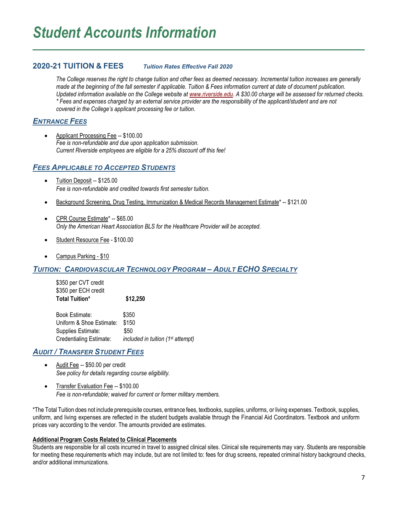### **2020-21 TUITION & FEES** *Tuition Rates Effective Fall 2020*

*The College reserves the right to change tuition and other fees as deemed necessary. Incremental tuition increases are generally made at the beginning of the fall semester if applicable. Tuition & Fees information current at date of document publication. Updated information available on the College website a[t www.riverside.edu.](http://www.riverside.edu/) A \$30.00 charge will be assessed for returned checks. \* Fees and expenses charged by an external service provider are the responsibility of the applicant/student and are not covered in the College's applicant processing fee or tuition.* 

### *ENTRANCE FEES*

• Applicant Processing Fee -- \$100.00 *Fee is non-refundable and due upon application submission. Current Riverside employees are eligible for a 25% discount off this fee!*

### *FEES APPLICABLE TO ACCEPTED STUDENTS*

- Tuition Deposit -- \$125.00 *Fee is non-refundable and credited towards first semester tuition.*
- Background Screening, Drug Testing, Immunization & Medical Records Management Estimate\* -- \$121.00
- CPR Course Estimate\* -- \$65.00 *Only the American Heart Association BLS for the Healthcare Provider will be accepted.*
- Student Resource Fee \$100.00
- Campus Parking \$10

### *TUITION: CARDIOVASCULAR TECHNOLOGY PROGRAM – ADULT ECHO SPECIALTY*

\$350 per CVT credit \$350 per ECH credit **Total Tuition\* \$12,250**

Book Estimate: \$350 Uniform & Shoe Estimate: \$150 Supplies Estimate: \$50 Credentialing Estimate: *included in tuition (1st attempt)*

### *AUDIT / TRANSFER STUDENT FEES*

- Audit Fee -- \$50.00 per credit *See policy for details regarding course eligibility.*
- Transfer Evaluation Fee -- \$100.00 *Fee is non-refundable; waived for current or former military members.*

\*The Total Tuition does not include prerequisite courses, entrance fees, textbooks, supplies, uniforms, or living expenses. Textbook, supplies, uniform, and living expenses are reflected in the student budgets available through the Financial Aid Coordinators. Textbook and uniform prices vary according to the vendor. The amounts provided are estimates.

#### **Additional Program Costs Related to Clinical Placements**

Students are responsible for all costs incurred in travel to assigned clinical sites. Clinical site requirements may vary. Students are responsible for meeting these requirements which may include, but are not limited to: fees for drug screens, repeated criminal history background checks, and/or additional immunizations.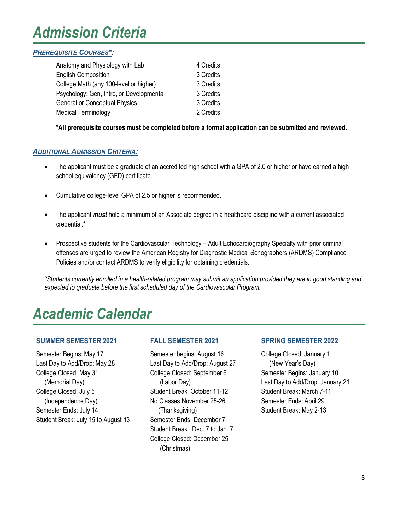### *Admission Criteria*

### *PREREQUISITE COURSES\*:*

| Anatomy and Physiology with Lab          | 4 Credits |
|------------------------------------------|-----------|
| <b>English Composition</b>               | 3 Credits |
| College Math (any 100-level or higher)   | 3 Credits |
| Psychology: Gen, Intro, or Developmental | 3 Credits |
| <b>General or Conceptual Physics</b>     | 3 Credits |
| <b>Medical Terminology</b>               | 2 Credits |

**\*All prerequisite courses must be completed before a formal application can be submitted and reviewed.**

### *ADDITIONAL ADMISSION CRITERIA:*

- The applicant must be a graduate of an accredited high school with a GPA of 2.0 or higher or have earned a high school equivalency (GED) certificate.
- Cumulative college-level GPA of 2.5 or higher is recommended.
- The applicant *must* hold a minimum of an Associate degree in a healthcare discipline with a current associated credential.**\***
- Prospective students for the Cardiovascular Technology Adult Echocardiography Specialty with prior criminal offenses are urged to review the American Registry for Diagnostic Medical Sonographers (ARDMS) Compliance Policies and/or contact ARDMS to verify eligibility for obtaining credentials.

*\*Students currently enrolled in a health-related program may submit an application provided they are in good standing and expected to graduate before the first scheduled day of the Cardiovascular Program.*

### *Academic Calendar*

### **SUMMER SEMESTER 2021**

Semester Begins: May 17 Last Day to Add/Drop: May 28 College Closed: May 31 (Memorial Day) College Closed: July 5 (Independence Day) Semester Ends: July 14 Student Break: July 15 to August 13

### **FALL SEMESTER 2021**

Semester begins: August 16 Last Day to Add/Drop: August 27 College Closed: September 6 (Labor Day) Student Break: October 11-12 No Classes November 25-26 (Thanksgiving) Semester Ends: December 7 Student Break: Dec. 7 to Jan. 7 College Closed: December 25 (Christmas)

### **SPRING SEMESTER 2022**

College Closed: January 1 (New Year's Day) Semester Begins: January 10 Last Day to Add/Drop: January 21 Student Break: March 7-11 Semester Ends: April 29 Student Break: May 2-13